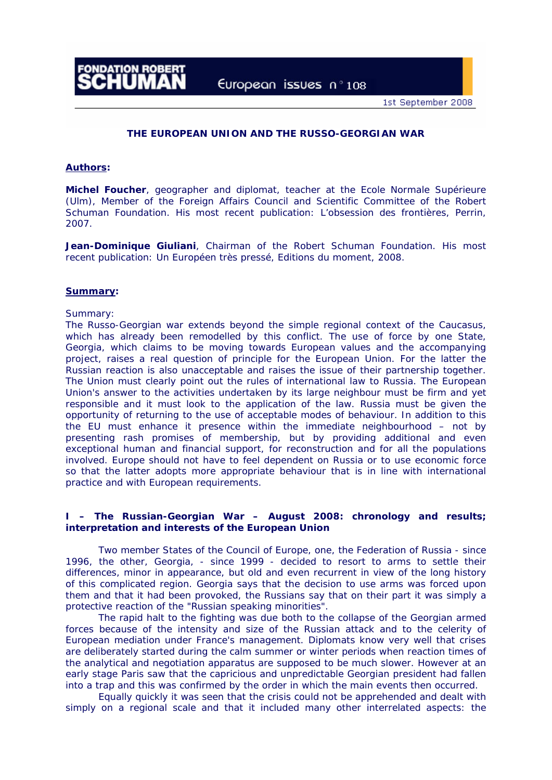European issues n°108

# **THE EUROPEAN UNION AND THE RUSSO-GEORGIAN WAR**

# **Authors:**

**Michel Foucher**, geographer and diplomat, teacher at the Ecole Normale Supérieure (Ulm), Member of the Foreign Affairs Council and Scientific Committee of the Robert Schuman Foundation. His most recent publication: *L'obsession des frontières,* Perrin, 2007.

**Jean-Dominique Giuliani**, Chairman of the Robert Schuman Foundation. His most recent publication: *Un Européen très pressé*, Editions du moment, 2008.

### **Summary:**

# Summary:

The Russo-Georgian war extends beyond the simple regional context of the Caucasus, which has already been remodelled by this conflict. The use of force by one State, Georgia, which claims to be moving towards European values and the accompanying project, raises a real question of principle for the European Union. For the latter the Russian reaction is also unacceptable and raises the issue of their partnership together. The Union must clearly point out the rules of international law to Russia. The European Union's answer to the activities undertaken by its large neighbour must be firm and yet responsible and it must look to the application of the law. Russia must be given the opportunity of returning to the use of acceptable modes of behaviour. In addition to this the EU must enhance it presence within the immediate neighbourhood – not by presenting rash promises of membership, but by providing additional and even exceptional human and financial support, for reconstruction and for all the populations involved. Europe should not have to feel dependent on Russia or to use economic force so that the latter adopts more appropriate behaviour that is in line with international practice and with European requirements.

# **I – The Russian-Georgian War – August 2008: chronology and results; interpretation and interests of the European Union**

Two member States of the Council of Europe, one, the Federation of Russia - since 1996, the other, Georgia, - since 1999 - decided to resort to arms to settle their differences, minor in appearance, but old and even recurrent in view of the long history of this complicated region. Georgia says that the decision to use arms was forced upon them and that it had been provoked, the Russians say that on their part it was simply a protective reaction of the "Russian speaking minorities".

The rapid halt to the fighting was due both to the collapse of the Georgian armed forces because of the intensity and size of the Russian attack and to the celerity of European mediation under France's management. Diplomats know very well that crises are deliberately started during the calm summer or winter periods when reaction times of the analytical and negotiation apparatus are supposed to be much slower. However at an early stage Paris saw that the capricious and unpredictable Georgian president had fallen into a trap and this was confirmed by the order in which the main events then occurred.

Equally quickly it was seen that the crisis could not be apprehended and dealt with simply on a regional scale and that it included many other interrelated aspects: the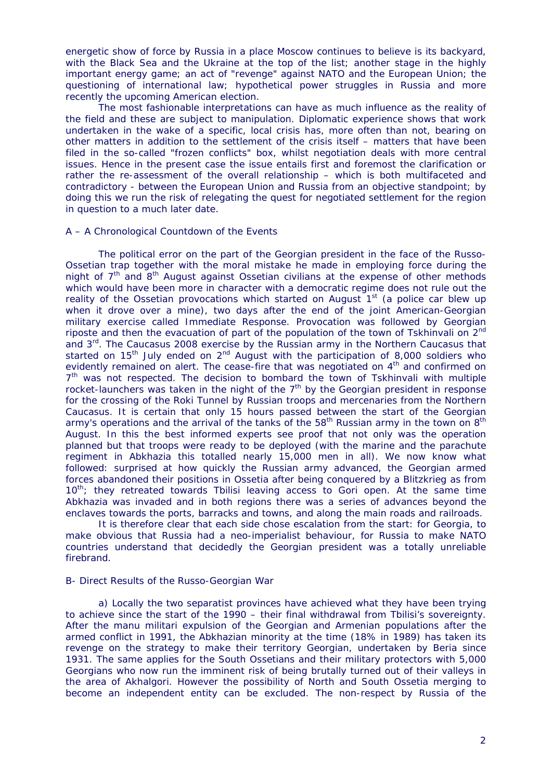energetic show of force by Russia in a place Moscow continues to believe is its backyard, with the Black Sea and the Ukraine at the top of the list; another stage in the highly important energy game; an act of "revenge" against NATO and the European Union; the questioning of international law; hypothetical power struggles in Russia and more recently the upcoming American election.

The most fashionable interpretations can have as much influence as the reality of the field and these are subject to manipulation. Diplomatic experience shows that work undertaken in the wake of a specific, local crisis has, more often than not, bearing on other matters in addition to the settlement of the crisis itself – matters that have been filed in the so-called "frozen conflicts" box, whilst negotiation deals with more central issues. Hence in the present case the issue entails first and foremost the clarification or rather the re-assessment of the overall relationship – which is both multifaceted and contradictory - between the European Union and Russia from an objective standpoint; by doing this we run the risk of relegating the quest for negotiated settlement for the region in question to a much later date.

# A – A Chronological Countdown of the Events

The political error on the part of the Georgian president in the face of the Russo-Ossetian trap together with the moral mistake he made in employing force during the night of  $7<sup>th</sup>$  and  $8<sup>th</sup>$  August against Ossetian civilians at the expense of other methods which would have been more in character with a democratic regime does not rule out the reality of the Ossetian provocations which started on August  $1<sup>st</sup>$  (a police car blew up when it drove over a mine), two days after the end of the joint American-Georgian military exercise called Immediate Response. Provocation was followed by Georgian riposte and then the evacuation of part of the population of the town of Tskhinvali on 2<sup>nd</sup> and 3<sup>rd</sup>. The Caucasus 2008 exercise by the Russian army in the Northern Caucasus that started on 15<sup>th</sup> July ended on  $2<sup>nd</sup>$  August with the participation of 8,000 soldiers who evidently remained on alert. The cease-fire that was negotiated on  $4<sup>th</sup>$  and confirmed on 7<sup>th</sup> was not respected. The decision to bombard the town of Tskhinvali with multiple rocket-launchers was taken in the night of the  $7<sup>th</sup>$  by the Georgian president in response for the crossing of the Roki Tunnel by Russian troops and mercenaries from the Northern Caucasus. It is certain that only 15 hours passed between the start of the Georgian army's operations and the arrival of the tanks of the 58<sup>th</sup> Russian army in the town on  $8<sup>th</sup>$ August. In this the best informed experts see proof that not only was the operation planned but that troops were ready to be deployed (with the marine and the parachute regiment in Abkhazia this totalled nearly 15,000 men in all). We now know what followed: surprised at how quickly the Russian army advanced, the Georgian armed forces abandoned their positions in Ossetia after being conquered by a Blitzkrieg as from  $10<sup>th</sup>$ ; they retreated towards Tbilisi leaving access to Gori open. At the same time Abkhazia was invaded and in both regions there was a series of advances beyond the enclaves towards the ports, barracks and towns, and along the main roads and railroads.

It is therefore clear that each side chose escalation from the start: for Georgia, to make obvious that Russia had a neo-imperialist behaviour, for Russia to make NATO countries understand that decidedly the Georgian president was a totally unreliable firebrand.

# B- Direct Results of the Russo-Georgian War

a) Locally the two separatist provinces have achieved what they have been trying to achieve since the start of the 1990 – their final withdrawal from Tbilisi's sovereignty. After the *manu militari* expulsion of the Georgian and Armenian populations after the armed conflict in 1991, the Abkhazian minority at the time (18% in 1989) has taken its revenge on the strategy to make their territory Georgian, undertaken by Beria since 1931. The same applies for the South Ossetians and their military protectors with 5,000 Georgians who now run the imminent risk of being brutally turned out of their valleys in the area of Akhalgori. However the possibility of North and South Ossetia merging to become an independent entity can be excluded. The non-respect by Russia of the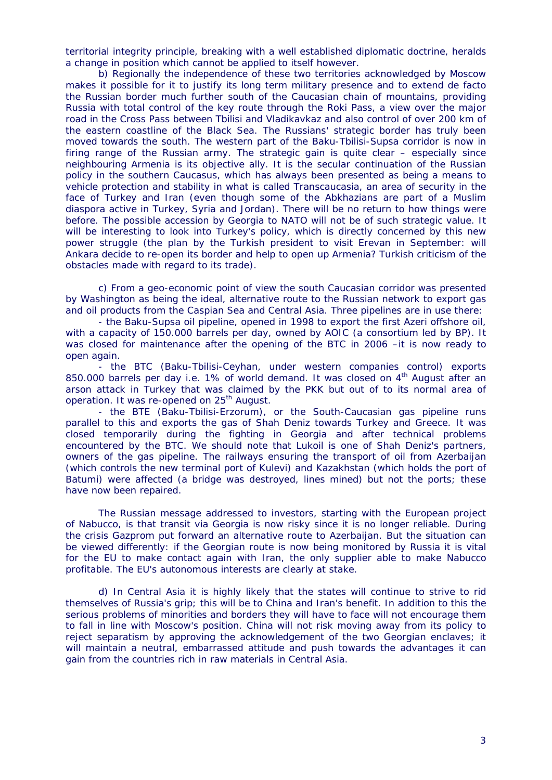territorial integrity principle, breaking with a well established diplomatic doctrine, heralds a change in position which cannot be applied to itself however.

b) Regionally the independence of these two territories acknowledged by Moscow makes it possible for it to justify its long term military presence and to extend de facto the Russian border much further south of the Caucasian chain of mountains, providing Russia with total control of the key route through the Roki Pass, a view over the major road in the Cross Pass between Tbilisi and Vladikavkaz and also control of over 200 km of the eastern coastline of the Black Sea. The Russians' strategic border has truly been moved towards the south. The western part of the Baku-Tbilisi-Supsa corridor is now in firing range of the Russian army. The strategic gain is quite clear – especially since neighbouring Armenia is its objective ally. It is the secular continuation of the Russian policy in the southern Caucasus, which has always been presented as being a means to vehicle protection and stability in what is called Transcaucasia, an area of security in the face of Turkey and Iran (even though some of the Abkhazians are part of a Muslim diaspora active in Turkey, Syria and Jordan). There will be no return to how things were before. The possible accession by Georgia to NATO will not be of such strategic value. It will be interesting to look into Turkey's policy, which is directly concerned by this new power struggle (the plan by the Turkish president to visit Erevan in September: will Ankara decide to re-open its border and help to open up Armenia? Turkish criticism of the obstacles made with regard to its trade).

c) From a geo-economic point of view the south Caucasian corridor was presented by Washington as being the ideal, alternative route to the Russian network to export gas and oil products from the Caspian Sea and Central Asia. Three pipelines are in use there:

- the Baku-Supsa oil pipeline, opened in 1998 to export the first Azeri offshore oil, with a capacity of 150.000 barrels per day, owned by AOIC (a consortium led by BP). It was closed for maintenance after the opening of the BTC in 2006 –it is now ready to open again.

- the BTC (Baku-Tbilisi-Ceyhan, under western companies control) exports 850.000 barrels per day i.e. 1% of world demand. It was closed on 4<sup>th</sup> August after an arson attack in Turkey that was claimed by the PKK but out of to its normal area of operation. It was re-opened on 25<sup>th</sup> August.

- the BTE (Baku-Tbilisi-Erzorum), or the South-Caucasian gas pipeline runs parallel to this and exports the gas of Shah Deniz towards Turkey and Greece. It was closed temporarily during the fighting in Georgia and after technical problems encountered by the BTC. We should note that Lukoil is one of Shah Deniz's partners, owners of the gas pipeline. The railways ensuring the transport of oil from Azerbaijan (which controls the new terminal port of Kulevi) and Kazakhstan (which holds the port of Batumi) were affected (a bridge was destroyed, lines mined) but not the ports; these have now been repaired.

The Russian message addressed to investors, starting with the European project of Nabucco, is that transit via Georgia is now risky since it is no longer reliable. During the crisis Gazprom put forward an alternative route to Azerbaijan. But the situation can be viewed differently: if the Georgian route is now being monitored by Russia it is vital for the EU to make contact again with Iran, the only supplier able to make Nabucco profitable. The EU's autonomous interests are clearly at stake.

d) In Central Asia it is highly likely that the states will continue to strive to rid themselves of Russia's grip; this will be to China and Iran's benefit. In addition to this the serious problems of minorities and borders they will have to face will not encourage them to fall in line with Moscow's position. China will not risk moving away from its policy to reject separatism by approving the acknowledgement of the two Georgian enclaves; it will maintain a neutral, embarrassed attitude and push towards the advantages it can gain from the countries rich in raw materials in Central Asia.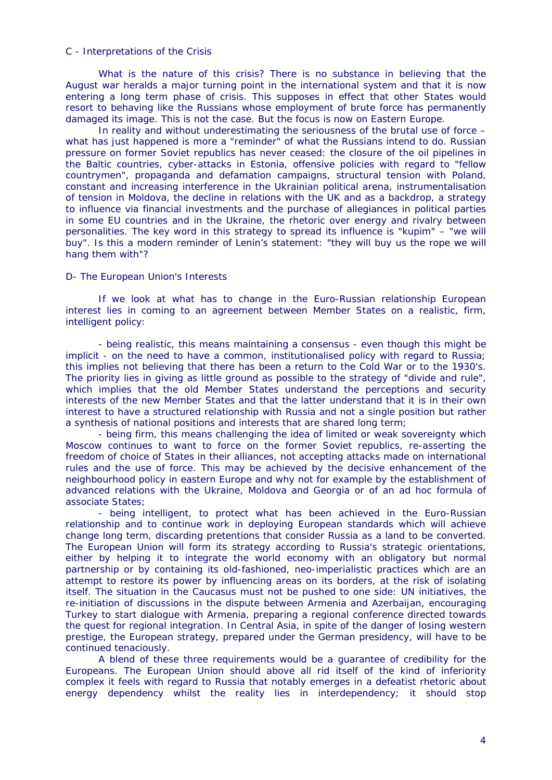# C - Interpretations of the Crisis

What is the nature of this crisis? There is no substance in believing that the August war heralds a major turning point in the international system and that it is now entering a long term phase of crisis. This supposes in effect that other States would resort to behaving like the Russians whose employment of brute force has permanently damaged its image. This is not the case. But the focus is now on Eastern Europe.

In reality and without underestimating the seriousness of the brutal use of force – what has just happened is more a "reminder" of what the Russians intend to do. Russian pressure on former Soviet republics has never ceased: the closure of the oil pipelines in the Baltic countries, cyber-attacks in Estonia, offensive policies with regard to "fellow countrymen", propaganda and defamation campaigns, structural tension with Poland, constant and increasing interference in the Ukrainian political arena, instrumentalisation of tension in Moldova, the decline in relations with the UK and as a backdrop, a strategy to influence via financial investments and the purchase of allegiances in political parties in some EU countries and in the Ukraine, the rhetoric over energy and rivalry between personalities. The key word in this strategy to spread its influence is "kupim" – "we will buy". Is this a modern reminder of Lenin's statement: "they will buy us the rope we will hang them with"?

# D- The European Union's Interests

If we look at what has to change in the Euro-Russian relationship European interest lies in coming to an agreement between Member States on a realistic, firm, intelligent policy:

- being realistic, this means maintaining a consensus - even though this might be implicit - on the need to have a common, institutionalised policy with regard to Russia; this implies not believing that there has been a return to the Cold War or to the 1930's. The priority lies in giving as little ground as possible to the strategy of "divide and rule", which implies that the old Member States understand the perceptions and security interests of the new Member States and that the latter understand that it is in their own interest to have a structured relationship with Russia and not a single position but rather a synthesis of national positions and interests that are shared long term;

- being firm, this means challenging the idea of limited or weak sovereignty which Moscow continues to want to force on the former Soviet republics, re-asserting the freedom of choice of States in their alliances, not accepting attacks made on international rules and the use of force. This may be achieved by the decisive enhancement of the neighbourhood policy in eastern Europe and why not for example by the establishment of advanced relations with the Ukraine, Moldova and Georgia or of an ad hoc formula of associate States;

- being intelligent, to protect what has been achieved in the Euro-Russian relationship and to continue work in deploying European standards which will achieve change long term, discarding pretentions that consider Russia as a land to be converted. The European Union will form its strategy according to Russia's strategic orientations, either by helping it to integrate the world economy with an obligatory but normal partnership or by containing its old-fashioned, neo-imperialistic practices which are an attempt to restore its power by influencing areas on its borders, at the risk of isolating itself. The situation in the Caucasus must not be pushed to one side: UN initiatives, the re-initiation of discussions in the dispute between Armenia and Azerbaijan, encouraging Turkey to start dialogue with Armenia, preparing a regional conference directed towards the quest for regional integration. In Central Asia, in spite of the danger of losing western prestige, the European strategy, prepared under the German presidency, will have to be continued tenaciously.

A blend of these three requirements would be a guarantee of credibility for the Europeans. The European Union should above all rid itself of the kind of inferiority complex it feels with regard to Russia that notably emerges in a defeatist rhetoric about energy dependency whilst the reality lies in interdependency; it should stop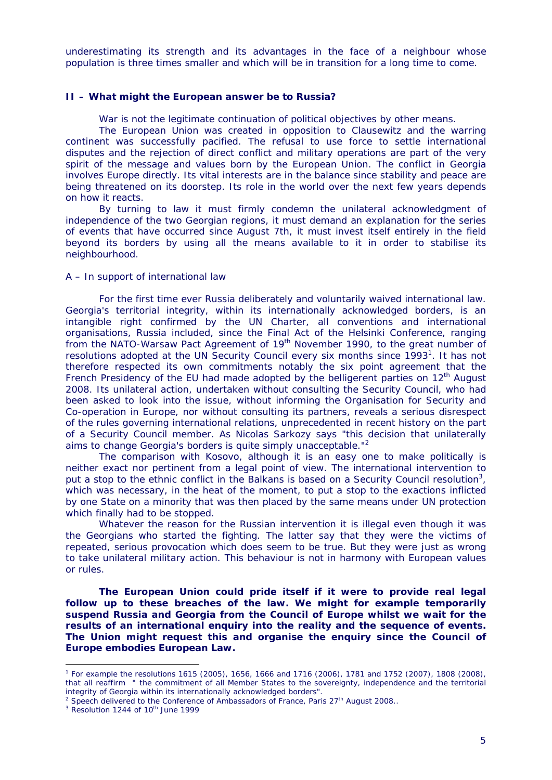underestimating its strength and its advantages in the face of a neighbour whose population is three times smaller and which will be in transition for a long time to come.

# **II – What might the European answer be to Russia?**

War is not the legitimate continuation of political objectives by other means.

The European Union was created in opposition to Clausewitz and the warring continent was successfully pacified. The refusal to use force to settle international disputes and the rejection of direct conflict and military operations are part of the very spirit of the message and values born by the European Union. The conflict in Georgia involves Europe directly. Its vital interests are in the balance since stability and peace are being threatened on its doorstep. Its role in the world over the next few years depends on how it reacts.

By turning to law it must firmly condemn the unilateral acknowledgment of independence of the two Georgian regions, it must demand an explanation for the series of events that have occurred since August 7th, it must invest itself entirely in the field beyond its borders by using all the means available to it in order to stabilise its neighbourhood.

### A – In support of international law

For the first time ever Russia deliberately and voluntarily waived international law. Georgia's territorial integrity, within its internationally acknowledged borders, is an intangible right confirmed by the UN Charter, all conventions and international organisations, Russia included, since the Final Act of the Helsinki Conference, ranging from the NATO-Warsaw Pact Agreement of 19<sup>th</sup> November 1990, to the great number of resolutions adopted at the UN Security Council every six months since 1993<sup>1</sup>. It has not therefore respected its own commitments notably the six point agreement that the French Presidency of the EU had made adopted by the belligerent parties on  $12<sup>th</sup>$  August 2008. Its unilateral action, undertaken without consulting the Security Council, who had been asked to look into the issue, without informing the Organisation for Security and Co-operation in Europe, nor without consulting its partners, reveals a serious disrespect of the rules governing international relations, unprecedented in recent history on the part of a Security Council member. As Nicolas Sarkozy says "this decision that unilaterally aims to change Georgia's borders is quite simply unacceptable."<sup>2</sup>

The comparison with Kosovo, although it is an easy one to make politically is neither exact nor pertinent from a legal point of view. The international intervention to put a stop to the ethnic conflict in the Balkans is based on a Security Council resolution<sup>3</sup>, which was necessary, in the heat of the moment, to put a stop to the exactions inflicted by one State on a minority that was then placed by the same means under UN protection which finally had to be stopped.

Whatever the reason for the Russian intervention it is illegal even though it was the Georgians who started the fighting. The latter say that they were the victims of repeated, serious provocation which does seem to be true. But they were just as wrong to take unilateral military action. This behaviour is not in harmony with European values or rules.

**The European Union could pride itself if it were to provide real legal follow up to these breaches of the law. We might for example temporarily suspend Russia and Georgia from the Council of Europe whilst we wait for the results of an international enquiry into the reality and the sequence of events. The Union might request this and organise the enquiry since the Council of Europe embodies European Law.** 

<u>.</u>

<sup>1</sup> For example the resolutions 1615 (2005), 1656, 1666 and 1716 (2006), 1781 and 1752 (2007), 1808 (2008), that all reaffirm " the commitment of all Member States to the sovereignty, independence and the territorial integrity of Georgia within its internationally acknowledged borders".

<sup>&</sup>lt;sup>2</sup> Speech delivered to the Conference of Ambassadors of France, Paris  $27<sup>th</sup>$  August 2008..

 $3$  Resolution 1244 of 10<sup>th</sup> June 1999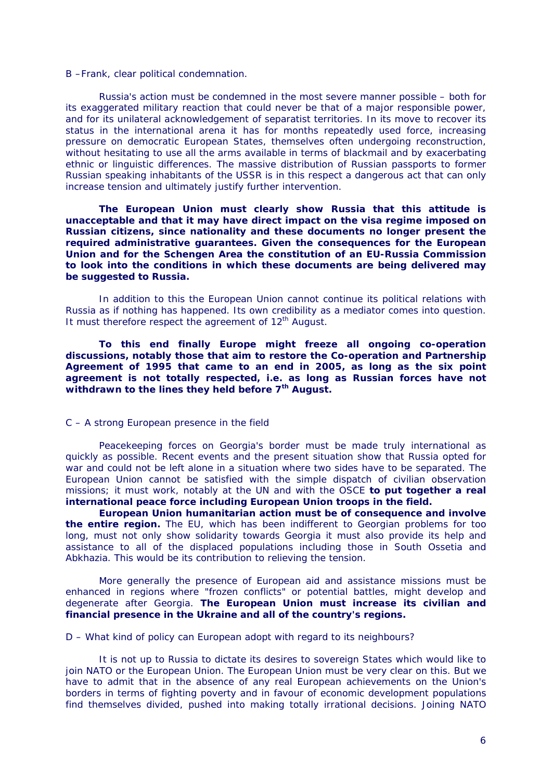B –Frank, clear political condemnation.

Russia's action must be condemned in the most severe manner possible – both for its exaggerated military reaction that could never be that of a major responsible power, and for its unilateral acknowledgement of separatist territories. In its move to recover its status in the international arena it has for months repeatedly used force, increasing pressure on democratic European States, themselves often undergoing reconstruction, without hesitating to use all the arms available in terms of blackmail and by exacerbating ethnic or linguistic differences. The massive distribution of Russian passports to former Russian speaking inhabitants of the USSR is in this respect a dangerous act that can only increase tension and ultimately justify further intervention.

**The European Union must clearly show Russia that this attitude is unacceptable and that it may have direct impact on the visa regime imposed on Russian citizens, since nationality and these documents no longer present the required administrative guarantees. Given the consequences for the European Union and for the Schengen Area the constitution of an EU-Russia Commission to look into the conditions in which these documents are being delivered may be suggested to Russia.** 

In addition to this the European Union cannot continue its political relations with Russia as if nothing has happened. Its own credibility as a mediator comes into question. It must therefore respect the agreement of 12<sup>th</sup> August.

**To this end finally Europe might freeze all ongoing co-operation discussions, notably those that aim to restore the Co-operation and Partnership Agreement of 1995 that came to an end in 2005, as long as the six point agreement is not totally respected, i.e. as long as Russian forces have not withdrawn to the lines they held before 7th August.**

#### C – A strong European presence in the field

Peacekeeping forces on Georgia's border must be made truly international as quickly as possible. Recent events and the present situation show that Russia opted for war and could not be left alone in a situation where two sides have to be separated. The European Union cannot be satisfied with the simple dispatch of civilian observation missions; it must work, notably at the UN and with the OSCE **to put together a real international peace force including European Union troops in the field.** 

**European Union humanitarian action must be of consequence and involve the entire region.** The EU, which has been indifferent to Georgian problems for too long, must not only show solidarity towards Georgia it must also provide its help and assistance to all of the displaced populations including those in South Ossetia and Abkhazia. This would be its contribution to relieving the tension.

More generally the presence of European aid and assistance missions must be enhanced in regions where "frozen conflicts" or potential battles, might develop and degenerate after Georgia. **The European Union must increase its civilian and financial presence in the Ukraine and all of the country's regions.** 

D – What kind of policy can European adopt with regard to its neighbours?

It is not up to Russia to dictate its desires to sovereign States which would like to join NATO or the European Union. The European Union must be very clear on this. But we have to admit that in the absence of any real European achievements on the Union's borders in terms of fighting poverty and in favour of economic development populations find themselves divided, pushed into making totally irrational decisions. Joining NATO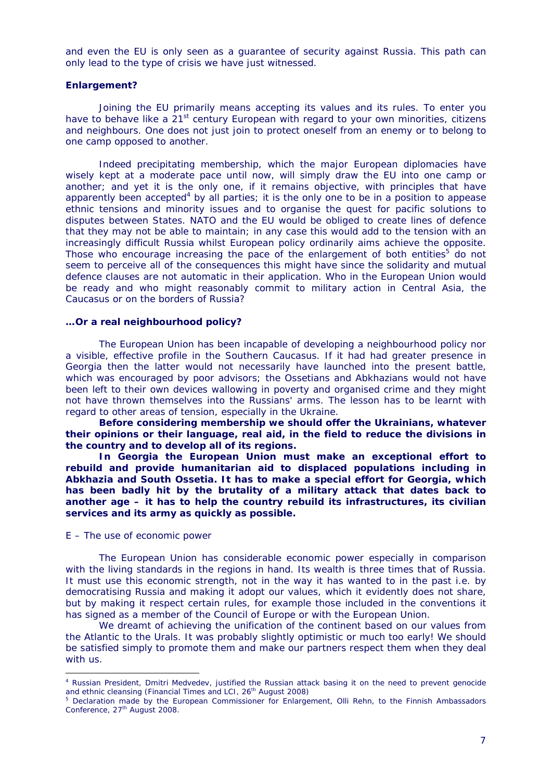and even the EU is only seen as a guarantee of security against Russia. This path can only lead to the type of crisis we have just witnessed.

### **Enlargement?**

Joining the EU primarily means accepting its values and its rules. To enter you have to behave like a  $21^{st}$  century European with regard to your own minorities, citizens and neighbours. One does not just join to protect oneself from an enemy or to belong to one camp opposed to another.

Indeed precipitating membership, which the major European diplomacies have wisely kept at a moderate pace until now, will simply draw the EU into one camp or another; and yet it is the only one, if it remains objective, with principles that have apparently been accepted<sup>4</sup> by all parties; it is the only one to be in a position to appease ethnic tensions and minority issues and to organise the quest for pacific solutions to disputes between States. NATO and the EU would be obliged to create lines of defence that they may not be able to maintain; in any case this would add to the tension with an increasingly difficult Russia whilst European policy ordinarily aims achieve the opposite. Those who encourage increasing the pace of the enlargement of both entities<sup>5</sup> do not seem to perceive all of the consequences this might have since the solidarity and mutual defence clauses are not automatic in their application. Who in the European Union would be ready and who might reasonably commit to military action in Central Asia, the Caucasus or on the borders of Russia?

#### **…Or a real neighbourhood policy?**

The European Union has been incapable of developing a neighbourhood policy nor a visible, effective profile in the Southern Caucasus. If it had had greater presence in Georgia then the latter would not necessarily have launched into the present battle, which was encouraged by poor advisors; the Ossetians and Abkhazians would not have been left to their own devices wallowing in poverty and organised crime and they might not have thrown themselves into the Russians' arms. The lesson has to be learnt with regard to other areas of tension, especially in the Ukraine.

**Before considering membership we should offer the Ukrainians, whatever their opinions or their language, real aid, in the field to reduce the divisions in the country and to develop all of its regions.** 

**In Georgia the European Union must make an exceptional effort to rebuild and provide humanitarian aid to displaced populations including in Abkhazia and South Ossetia. It has to make a special effort for Georgia, which has been badly hit by the brutality of a military attack that dates back to another age – it has to help the country rebuild its infrastructures, its civilian services and its army as quickly as possible.** 

### E – The use of economic power

1

The European Union has considerable economic power especially in comparison with the living standards in the regions in hand. Its wealth is three times that of Russia. It must use this economic strength, not in the way it has wanted to in the past i.e. by democratising Russia and making it adopt our values, which it evidently does not share, but by making it respect certain rules, for example those included in the conventions it has signed as a member of the Council of Europe or with the European Union.

We dreamt of achieving the unification of the continent based on our values from the Atlantic to the Urals. It was probably slightly optimistic or much too early! We should be satisfied simply to promote them and make our partners respect them when they deal with us.

<sup>4</sup> Russian President, Dmitri Medvedev, justified the Russian attack basing it on the need to prevent genocide and ethnic cleansing (Financial Times and LCI, 26<sup>th</sup> August 2008)

<sup>&</sup>lt;sup>5</sup> Declaration made by the European Commissioner for Enlargement, Olli Rehn, to the Finnish Ambassadors Conference, 27<sup>th</sup> August 2008.